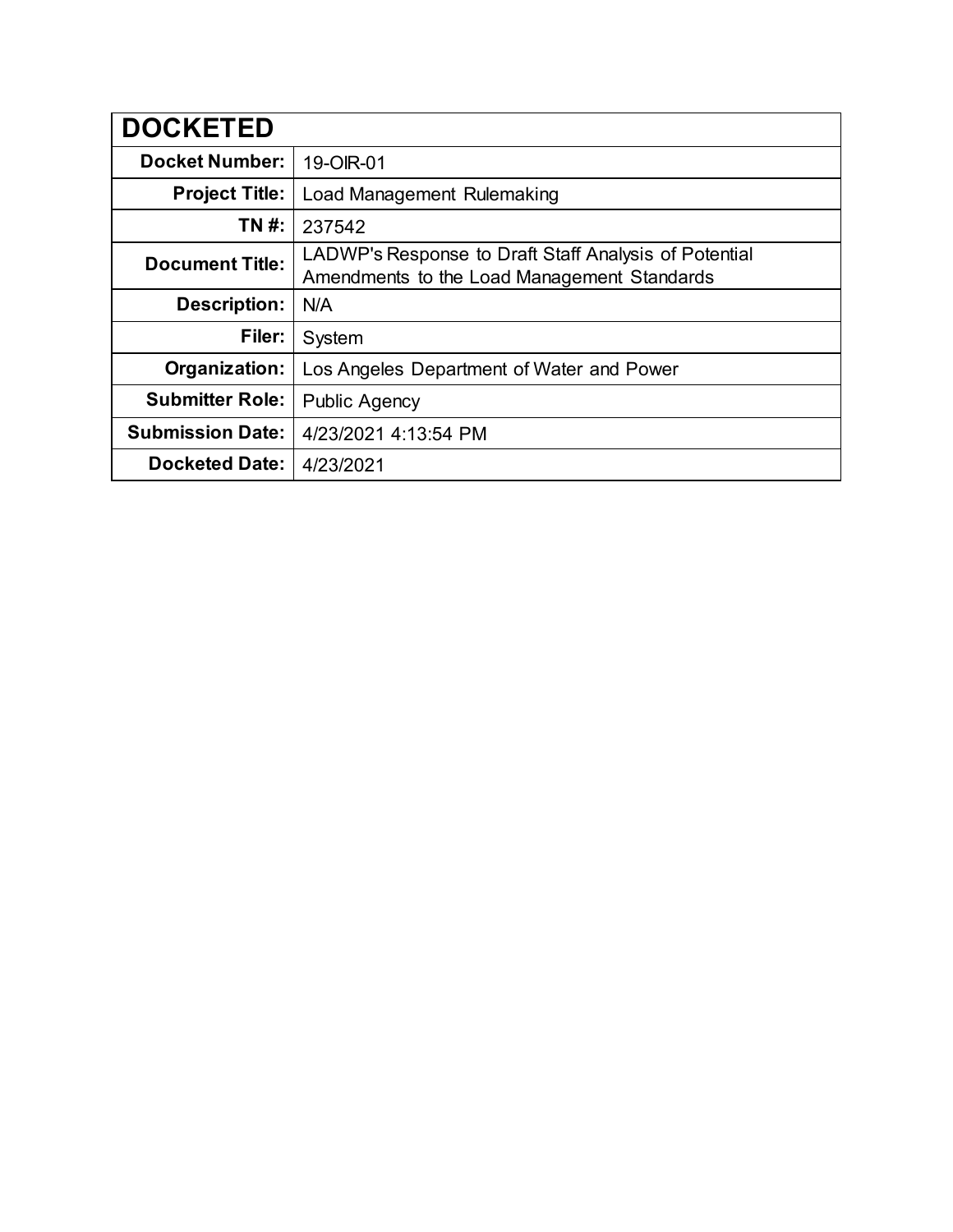| <b>DOCKETED</b>         |                                                                                                      |
|-------------------------|------------------------------------------------------------------------------------------------------|
| <b>Docket Number:</b>   | 19-OIR-01                                                                                            |
| <b>Project Title:</b>   | Load Management Rulemaking                                                                           |
| TN #:                   | 237542                                                                                               |
| <b>Document Title:</b>  | LADWP's Response to Draft Staff Analysis of Potential<br>Amendments to the Load Management Standards |
| <b>Description:</b>     | N/A                                                                                                  |
| Filer:                  | System                                                                                               |
| Organization:           | Los Angeles Department of Water and Power                                                            |
| <b>Submitter Role:</b>  | <b>Public Agency</b>                                                                                 |
| <b>Submission Date:</b> | 4/23/2021 4:13:54 PM                                                                                 |
| <b>Docketed Date:</b>   | 4/23/2021                                                                                            |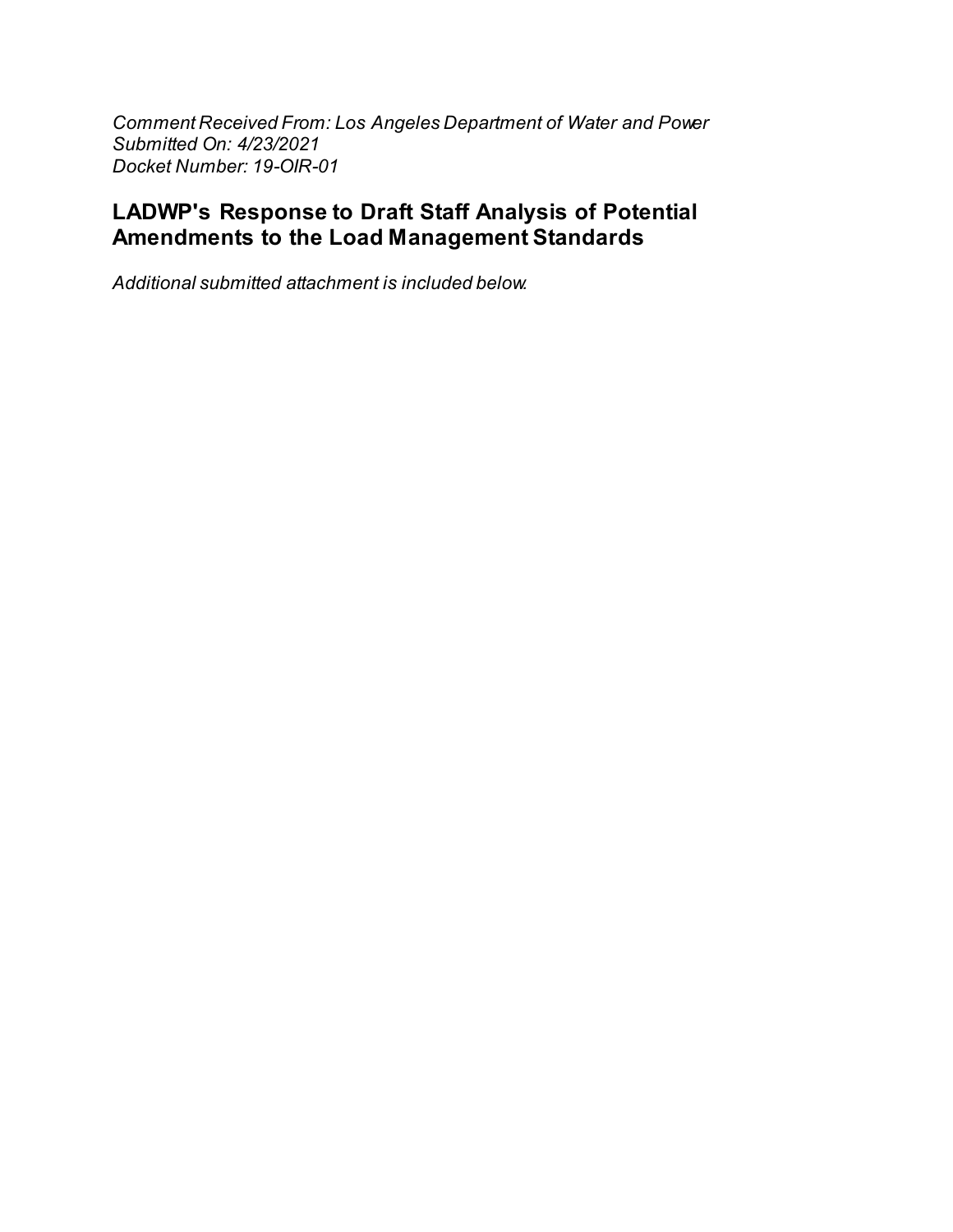Comment Received From: Los Angeles Department of Water and Power Submitted On: 4/23/2021 Docket Number: 19-OIR-01

# LADWP's Response to Draft Staff Analysis of Potential Amendments to the Load Management Standards

Additional submitted attachment is included below.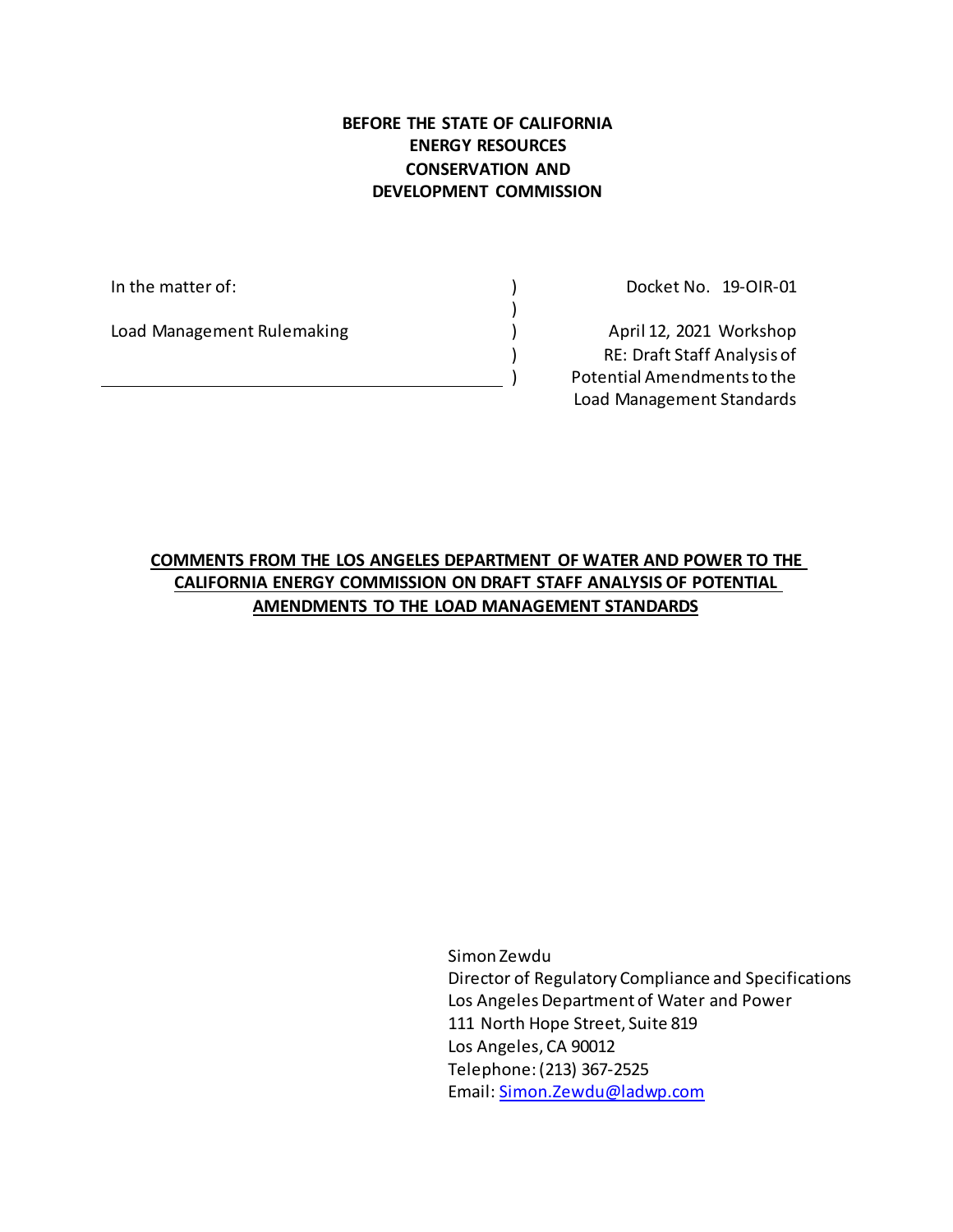#### **BEFORE THE STATE OF CALIFORNIA ENERGY RESOURCES CONSERVATION AND DEVELOPMENT COMMISSION**

 $\lambda$ 

) )

In the matter of:  $\qquad \qquad$  )

Load Management Rulemaking (2002)

Docket No. 19‐OIR‐01

April 12, 2021 Workshop RE: Draft Staff Analysis of Potential Amendments to the Load Management Standards

**COMMENTS FROM THE LOS ANGELES DEPARTMENT OF WATER AND POWER TO THE CALIFORNIA ENERGY COMMISSION ON DRAFT STAFF ANALYSIS OF POTENTIAL AMENDMENTS TO THE LOAD MANAGEMENT STANDARDS**

> Simon Zewdu Director of Regulatory Compliance and Specifications Los Angeles Department of Water and Power 111 North Hope Street, Suite 819 Los Angeles, CA 90012 Telephone: (213) 367-2525 Email: [Simon.Zewdu@ladwp.com](mailto:Simon.Zewdu@ladwp.com)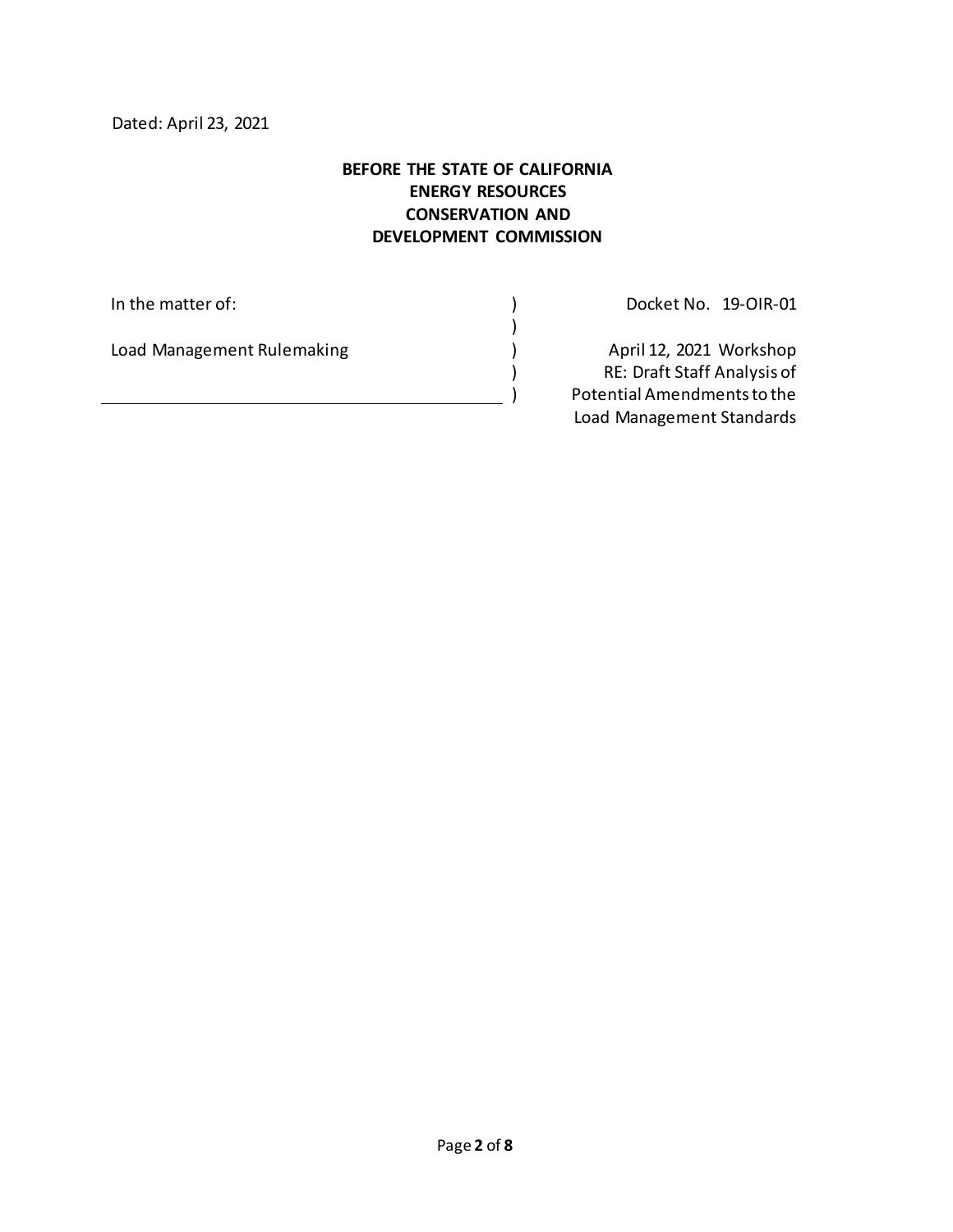#### **BEFORE THE STATE OF CALIFORNIA ENERGY RESOURCES CONSERVATION AND DEVELOPMENT COMMISSION**

)

) )

In the matter of:  $\qquad \qquad \qquad$  )

Load Management Rulemaking (2002)

Docket No. 19‐OIR‐01

April 12, 2021 Workshop RE: Draft Staff Analysis of Potential Amendments to the Load Management Standards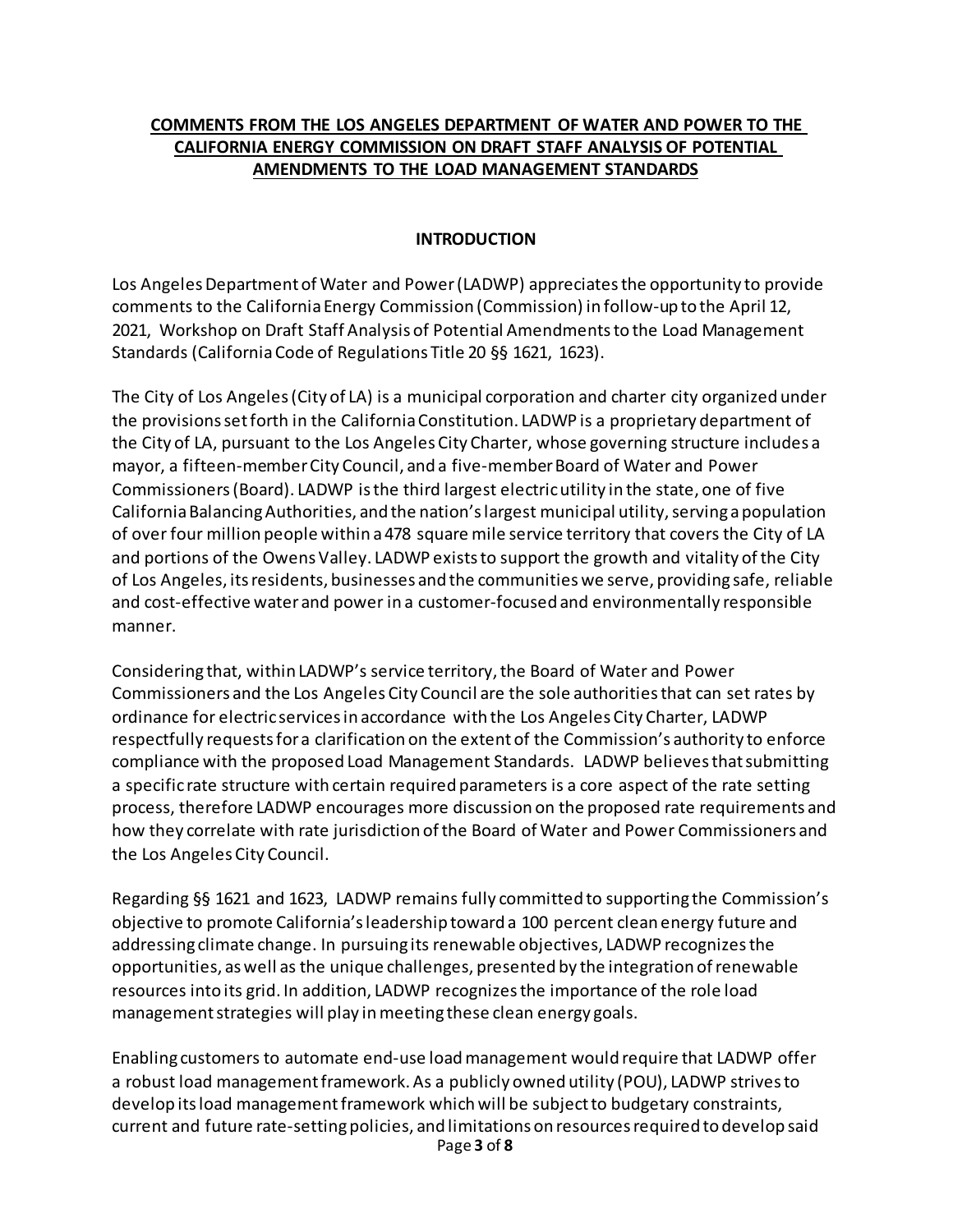#### **COMMENTS FROM THE LOS ANGELES DEPARTMENT OF WATER AND POWER TO THE CALIFORNIA ENERGY COMMISSION ON DRAFT STAFF ANALYSIS OF POTENTIAL AMENDMENTS TO THE LOAD MANAGEMENT STANDARDS**

#### **INTRODUCTION**

Los Angeles Department of Water and Power (LADWP) appreciates the opportunity to provide comments to the California Energy Commission (Commission) in follow-up to the April 12, 2021, Workshop on Draft Staff Analysis of Potential Amendments to the Load Management Standards (CaliforniaCode of Regulations Title 20 §§ 1621, 1623).

The City of Los Angeles (City of LA) is a municipal corporation and charter city organized under the provisions set forth in the California Constitution. LADWP is a proprietary department of the City of LA, pursuant to the Los Angeles City Charter, whose governing structure includes a mayor, a fifteen‐member City Council, and a five‐member Board of Water and Power Commissioners (Board). LADWP is the third largest electric utility in the state, one of five California Balancing Authorities, and the nation's largest municipal utility, serving a population of over four million people within a 478 square mile service territory that covers the City of LA and portions of the Owens Valley. LADWP exists to support the growth and vitality of the City of Los Angeles, its residents, businesses and the communities we serve, providing safe, reliable and cost-effective water and power in a customer-focused and environmentally responsible manner.

Considering that, within LADWP's service territory, the Board of Water and Power Commissioners and the Los Angeles City Council are the sole authorities that can set rates by ordinance for electric services in accordance with the Los Angeles City Charter, LADWP respectfully requests for a clarification on the extent of the Commission's authority to enforce compliance with the proposed Load Management Standards. LADWP believes that submitting a specific rate structure with certain required parameters is a core aspect of the rate setting process, therefore LADWP encourages more discussion on the proposed rate requirements and how they correlate with rate jurisdiction of the Board of Water and Power Commissioners and the Los Angeles City Council.

Regarding §§ 1621 and 1623, LADWP remains fully committed to supporting the Commission's objective to promote California's leadership toward a 100 percent clean energy future and addressing climate change. In pursuing its renewable objectives, LADWP recognizes the opportunities, as well as the unique challenges, presented by the integration ofrenewable resources into its grid. In addition, LADWP recognizes the importance of the role load management strategies will play in meeting these clean energy goals.

Page **3** of **8** Enabling customers to automate end‐use load management would require that LADWP offer a robust load management framework. As a publicly owned utility (POU), LADWP strives to develop its load management framework which will be subject to budgetary constraints, current and future rate-setting policies, and limitations on resources required to develop said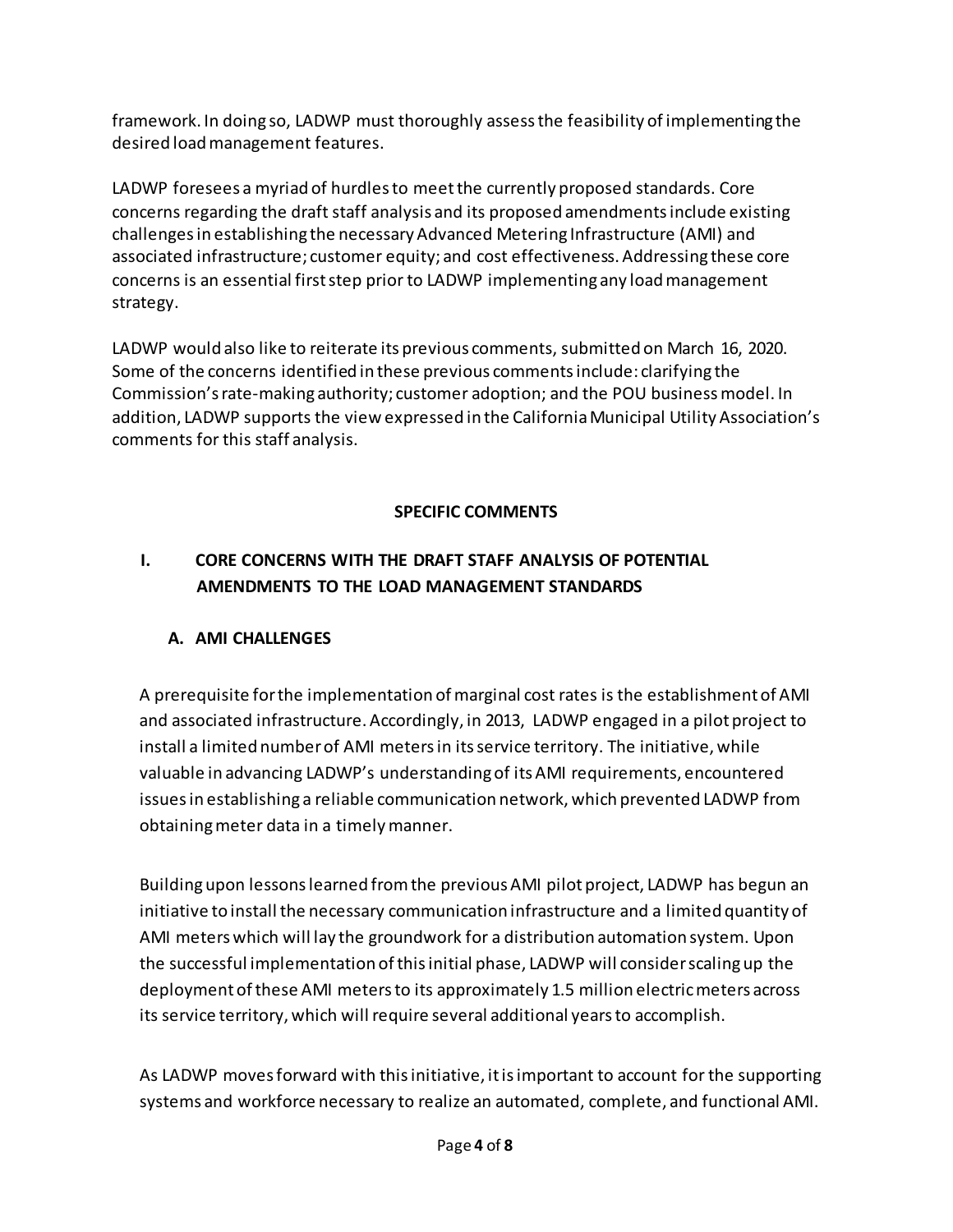framework. In doing so, LADWP must thoroughly assess the feasibility of implementing the desired load management features.

LADWP foresees a myriad of hurdlesto meet the currently proposed standards. Core concerns regarding the draft staff analysis and its proposed amendments include existing challenges in establishing the necessary Advanced Metering Infrastructure (AMI) and associated infrastructure; customer equity; and cost effectiveness. Addressing these core concerns is an essential first step prior to LADWP implementing any load management strategy.

LADWP would also like to reiterate its previous comments, submitted on March 16, 2020. Some of the concerns identified in these previous comments include: clarifying the Commission's rate-making authority; customer adoption; and the POU business model. In addition, LADWP supports the view expressed in the California Municipal Utility Association's comments for this staff analysis.

#### **SPECIFIC COMMENTS**

## **I. CORE CONCERNS WITH THE DRAFT STAFF ANALYSIS OF POTENTIAL AMENDMENTS TO THE LOAD MANAGEMENT STANDARDS**

#### **A. AMI CHALLENGES**

A prerequisite for the implementation of marginal cost rates is the establishment of AMI and associated infrastructure. Accordingly, in 2013, LADWP engaged in a pilot project to install a limited number of AMI meters in its service territory. The initiative, while valuable in advancing LADWP's understanding of its AMI requirements, encountered issuesin establishing a reliable communication network, which prevented LADWP from obtaining meter data in a timely manner.

Building upon lessons learned from the previous AMI pilot project, LADWP has begun an initiative to install the necessary communication infrastructure and a limited quantity of AMI meters which will lay the groundwork for a distribution automation system. Upon the successful implementation of this initial phase, LADWP will consider scalingup the deployment of these AMI meters to its approximately 1.5 million electric meters across its service territory, which will require several additional yearsto accomplish.

As LADWP moves forward with this initiative, it is important to account for the supporting systems and workforce necessary to realize an automated, complete, and functional AMI.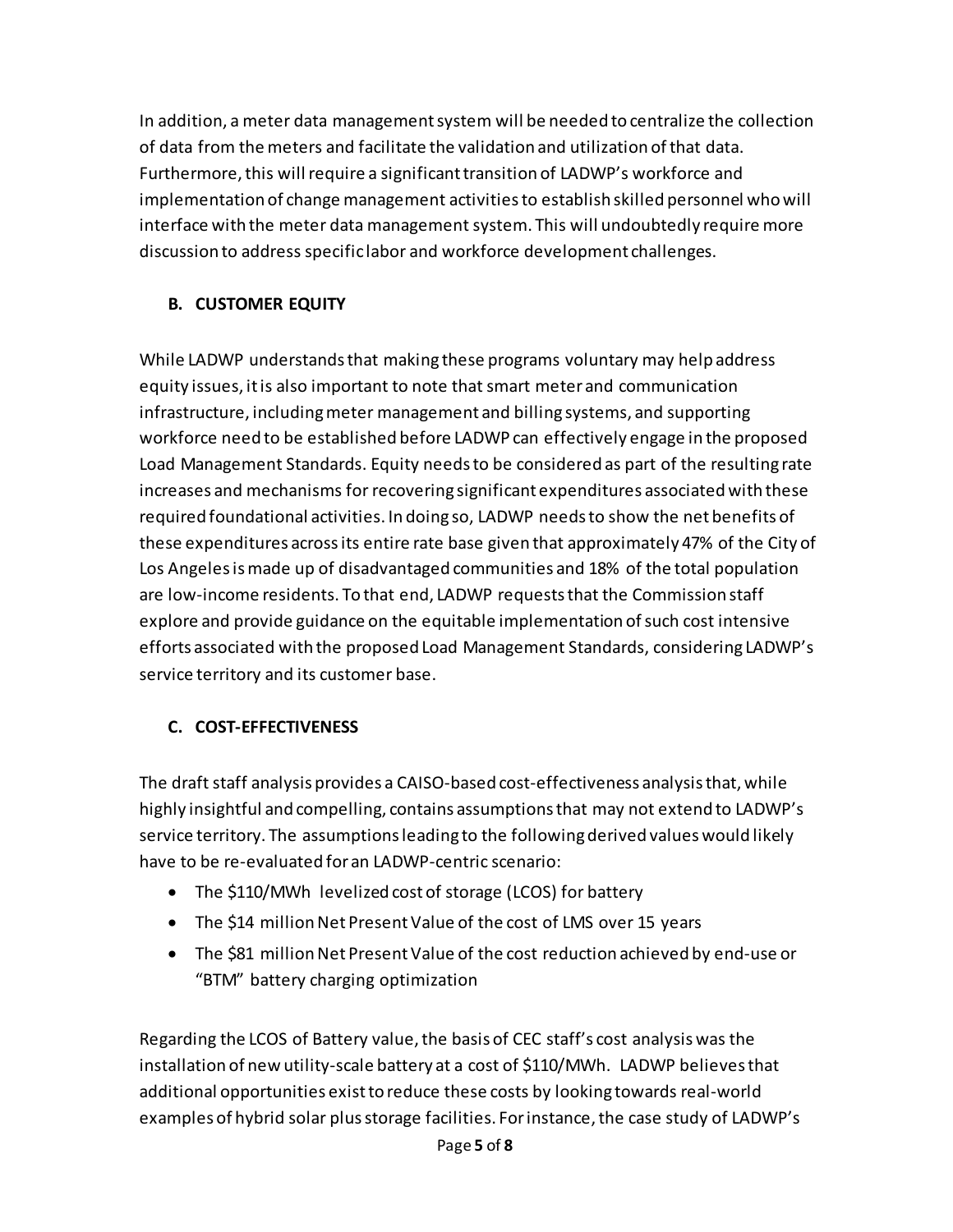In addition, a meter data management system will be needed to centralize the collection of data from the meters and facilitate the validation and utilization of that data. Furthermore, this will require a significant transition of LADWP's workforce and implementation of change management activities to establish skilled personnel who will interface with the meter data management system. This will undoubtedly require more discussion to address specific labor and workforce development challenges.

## **B. CUSTOMER EQUITY**

While LADWP understands that making these programs voluntary may help address equity issues, it is also important to note that smart meterand communication infrastructure, including meter management and billing systems, and supporting workforce need to be established before LADWP can effectively engage in the proposed Load Management Standards. Equity needs to be considered as part of the resulting rate increases and mechanisms for recovering significant expenditures associated with these required foundational activities. In doing so, LADWP needs to show the net benefits of these expenditures across its entire rate base given that approximately 47% of the City of Los Angeles is made up of disadvantaged communities and 18% of the total population are low-income residents. To that end, LADWP requeststhat the Commission staff explore and provide guidance on the equitable implementation of such cost intensive efforts associated with the proposed Load Management Standards, considering LADWP's service territory and its customer base.

# **C. COST-EFFECTIVENESS**

The draft staff analysis provides a CAISO-based cost-effectiveness analysis that, while highly insightful and compelling, contains assumptions that may not extend to LADWP's service territory. The assumptions leading to the following derived values would likely have to be re-evaluated foran LADWP-centric scenario:

- The \$110/MWh levelized cost of storage (LCOS) for battery
- The \$14 million Net Present Value of the cost of LMS over 15 years
- The \$81 million Net Present Value of the cost reduction achieved by end-use or "BTM" battery charging optimization

Regarding the LCOS of Battery value, the basis of CEC staff's cost analysis was the installation of new utility-scale battery at a cost of \$110/MWh. LADWP believes that additional opportunities exist to reduce these costs by looking towards real-world examples of hybrid solar plus storage facilities. For instance, the case study of LADWP's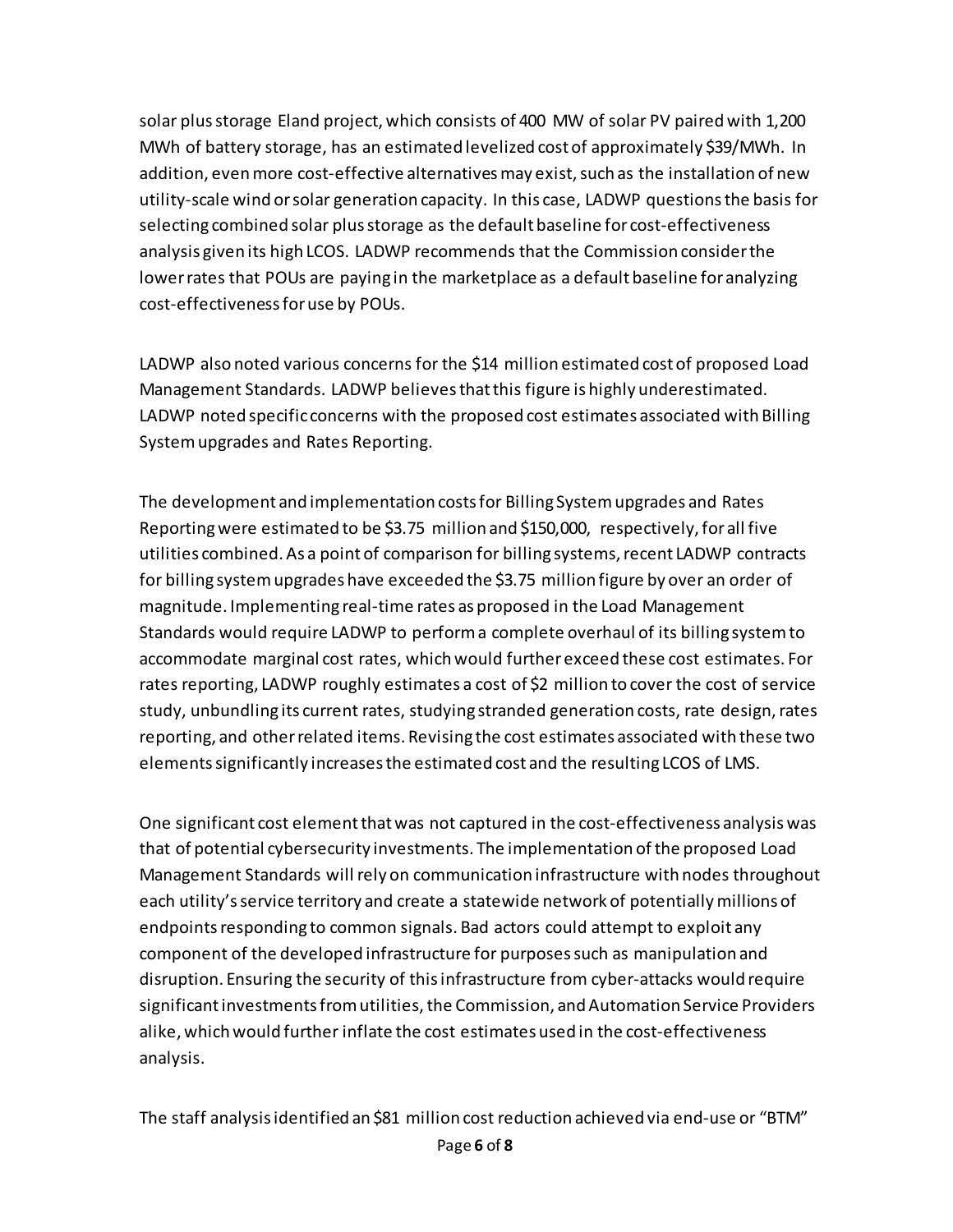solar plus storage Eland project, which consists of 400 MW of solar PV paired with 1,200 MWh of battery storage, has an estimated levelized cost of approximately \$39/MWh. In addition, even more cost-effective alternatives may exist, such as the installation of new utility-scale wind or solar generation capacity. In this case, LADWP questions the basis for selecting combined solar plus storage as the default baseline for cost-effectiveness analysis given its high LCOS. LADWP recommends that the Commission considerthe lower rates that POUs are paying in the marketplace as a default baseline for analyzing cost-effectivenessfor use by POUs.

LADWP also noted various concerns for the \$14 million estimated cost of proposed Load Management Standards. LADWP believes that this figure is highly underestimated. LADWP noted specific concerns with the proposed cost estimates associated with Billing Systemupgrades and Rates Reporting.

The development and implementation costs for Billing System upgrades and Rates Reportingwere estimated to be \$3.75 million and \$150,000, respectively, for all five utilities combined. As a point of comparison for billing systems, recent LADWP contracts for billing system upgrades have exceeded the \$3.75 million figure by over an order of magnitude. Implementing real-time rates as proposed in the Load Management Standards would require LADWP to perform a complete overhaul of its billing system to accommodate marginal cost rates, which would further exceed these cost estimates. For rates reporting, LADWP roughly estimates a cost of \$2 million to cover the cost of service study, unbundling its current rates, studying stranded generation costs, rate design, rates reporting, and other related items. Revising the cost estimates associated with these two elementssignificantly increasesthe estimated cost and the resulting LCOS of LMS.

One significant cost elementthat was not captured in the cost-effectiveness analysis was that of potential cybersecurity investments. The implementation of the proposed Load Management Standards will rely on communication infrastructure with nodes throughout each utility's service territory and create a statewide network of potentially millions of endpoints responding to common signals. Bad actors could attempt to exploit any component of the developed infrastructure for purposes such as manipulation and disruption. Ensuring the security of this infrastructure from cyber-attacks would require significant investments from utilities, the Commission, and Automation Service Providers alike, which would further inflate the cost estimates used in the cost-effectiveness analysis.

The staff analysis identified an \$81 million cost reduction achieved via end-use or "BTM"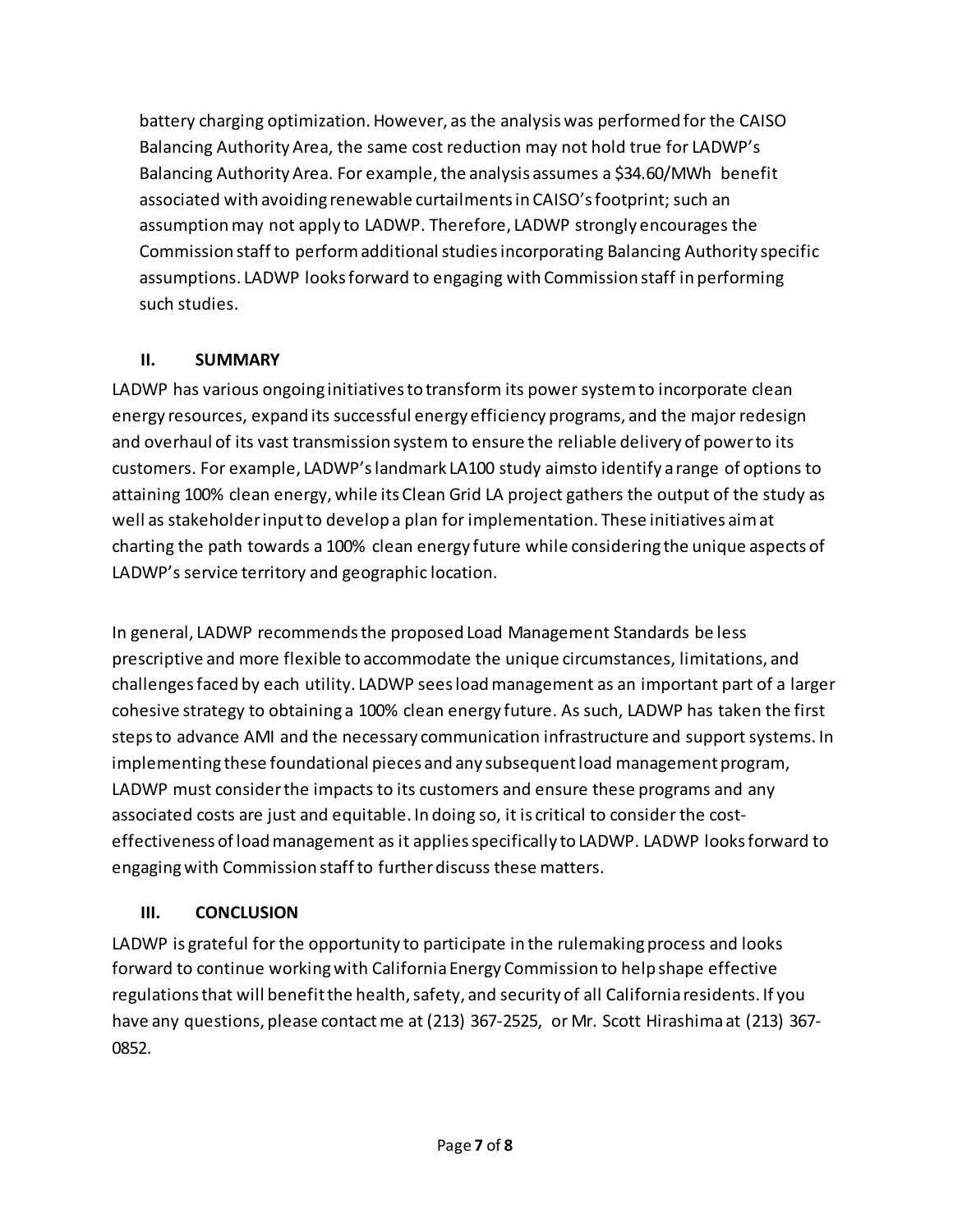battery charging optimization. However, as the analysis was performed for the CAISO Balancing Authority Area, the same cost reduction may not hold true for LADWP's Balancing Authority Area. For example, the analysis assumes a \$34.60/MWh benefit associated with avoiding renewable curtailments in CAISO's footprint; such an assumptionmay not apply to LADWP. Therefore, LADWP strongly encourages the Commission staffto perform additional studies incorporating Balancing Authority specific assumptions. LADWP looks forward to engaging with Commission staff in performing such studies.

### **II. SUMMARY**

LADWP has various ongoing initiatives to transform its power system to incorporate clean energy resources, expand its successful energy efficiency programs, and the major redesign and overhaul of its vast transmission system to ensure the reliable delivery of powerto its customers. For example, LADWP'slandmark LA100 study aimsto identify a range of options to attaining 100% clean energy, while its Clean Grid LA project gathers the output of the study as well as stakeholder input to develop a plan for implementation. These initiatives aim at charting the path towards a 100% clean energy future while considering the unique aspects of LADWP's service territory and geographic location.

In general, LADWP recommends the proposed Load Management Standards be less prescriptive and more flexible to accommodate the unique circumstances, limitations, and challengesfaced by each utility. LADWP sees load management as an important part of a larger cohesive strategy to obtaining a 100% clean energy future. As such, LADWP has taken the first steps to advance AMI and the necessary communication infrastructure and support systems. In implementing these foundational pieces and any subsequent load management program, LADWP must consider the impacts to its customers and ensure these programs and any associated costs are just and equitable. In doing so, it is critical to consider the costeffectiveness of load management as it applies specifically to LADWP. LADWP looks forward to engaging with Commission staff to further discuss these matters.

# **III. CONCLUSION**

LADWP is grateful for the opportunity to participate in the rulemaking process and looks forward to continue working with California Energy Commission to help shape effective regulations that will benefit the health, safety, and security of all California residents. If you have any questions, please contact me at (213) 367-2525, or Mr. Scott Hirashima at (213) 367-0852.